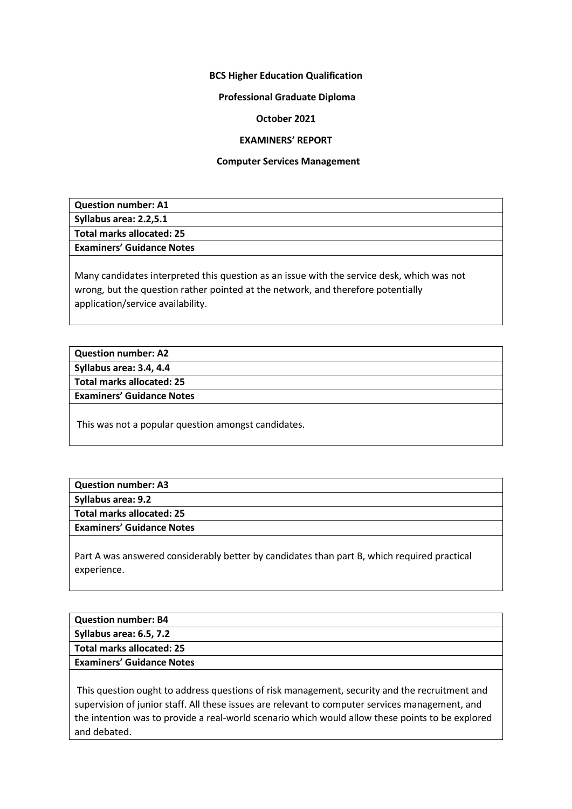# **BCS Higher Education Qualification**

# **Professional Graduate Diploma**

# **October 2021**

# **EXAMINERS' REPORT**

### **Computer Services Management**

| <b>Question number: A1</b>       |
|----------------------------------|
| Syllabus area: 2.2,5.1           |
| Total marks allocated: 25        |
| <b>Examiners' Guidance Notes</b> |
|                                  |

Many candidates interpreted this question as an issue with the service desk, which was not wrong, but the question rather pointed at the network, and therefore potentially application/service availability.

**Question number: A2 Syllabus area: 3.4, 4.4 Total marks allocated: 25**

**Examiners' Guidance Notes**

This was not a popular question amongst candidates.

| <b>Question number: A3</b>       |  |
|----------------------------------|--|
| Syllabus area: 9.2               |  |
| Total marks allocated: 25        |  |
| <b>Examiners' Guidance Notes</b> |  |
|                                  |  |

Part A was answered considerably better by candidates than part B, which required practical experience.

| <b>Question number: B4</b>       |
|----------------------------------|
| Syllabus area: 6.5, 7.2          |
| Total marks allocated: 25        |
| <b>Examiners' Guidance Notes</b> |
|                                  |

This question ought to address questions of risk management, security and the recruitment and supervision of junior staff. All these issues are relevant to computer services management, and the intention was to provide a real-world scenario which would allow these points to be explored and debated.